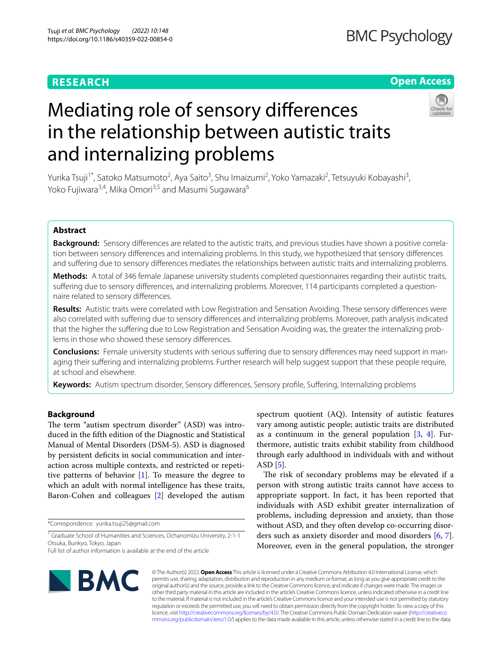# **RESEARCH**

# **Open Access**

# Mediating role of sensory diferences in the relationship between autistic traits and internalizing problems

Yurika Tsuji<sup>1\*</sup>, Satoko Matsumoto<sup>2</sup>, Aya Saito<sup>3</sup>, Shu Imaizumi<sup>2</sup>, Yoko Yamazaki<sup>2</sup>, Tetsuyuki Kobayashi<sup>3</sup>, Yoko Fujiwara<sup>3,4</sup>, Mika Omori<sup>3,5</sup> and Masumi Sugawara<sup>6</sup>

# **Abstract**

Background: Sensory differences are related to the autistic traits, and previous studies have shown a positive correlation between sensory diferences and internalizing problems. In this study, we hypothesized that sensory diferences and sufering due to sensory diferences mediates the relationships between autistic traits and internalizing problems.

**Methods:** A total of 346 female Japanese university students completed questionnaires regarding their autistic traits, suffering due to sensory differences, and internalizing problems. Moreover, 114 participants completed a questionnaire related to sensory diferences.

**Results:** Autistic traits were correlated with Low Registration and Sensation Avoiding. These sensory diferences were also correlated with sufering due to sensory diferences and internalizing problems. Moreover, path analysis indicated that the higher the suffering due to Low Registration and Sensation Avoiding was, the greater the internalizing problems in those who showed these sensory diferences.

**Conclusions:** Female university students with serious suffering due to sensory differences may need support in managing their suffering and internalizing problems. Further research will help suggest support that these people require, at school and elsewhere.

**Keywords:** Autism spectrum disorder, Sensory diferences, Sensory profle, Sufering, Internalizing problems

# **Background**

The term "autism spectrum disorder" (ASD) was introduced in the ffth edition of the Diagnostic and Statistical Manual of Mental Disorders (DSM-5). ASD is diagnosed by persistent deficits in social communication and interaction across multiple contexts, and restricted or repetitive patterns of behavior [\[1](#page-8-0)]. To measure the degree to which an adult with normal intelligence has these traits, Baron-Cohen and colleagues [\[2](#page-8-1)] developed the autism

\*Correspondence: yurika.tsuji25@gmail.com

<sup>1</sup> Graduate School of Humanities and Sciences, Ochanomizu University, 2-1-1 Otsuka, Bunkyo, Tokyo, Japan

spectrum quotient (AQ). Intensity of autistic features vary among autistic people; autistic traits are distributed as a continuum in the general population  $[3, 4]$  $[3, 4]$  $[3, 4]$  $[3, 4]$ . Furthermore, autistic traits exhibit stability from childhood through early adulthood in individuals with and without ASD [[5](#page-8-4)].

The risk of secondary problems may be elevated if a person with strong autistic traits cannot have access to appropriate support. In fact, it has been reported that individuals with ASD exhibit greater internalization of problems, including depression and anxiety, than those without ASD, and they often develop co-occurring disorders such as anxiety disorder and mood disorders [[6,](#page-8-5) [7](#page-8-6)]. Moreover, even in the general population, the stronger



© The Author(s) 2022. **Open Access** This article is licensed under a Creative Commons Attribution 4.0 International License, which permits use, sharing, adaptation, distribution and reproduction in any medium or format, as long as you give appropriate credit to the original author(s) and the source, provide a link to the Creative Commons licence, and indicate if changes were made. The images or other third party material in this article are included in the article's Creative Commons licence, unless indicated otherwise in a credit line to the material. If material is not included in the article's Creative Commons licence and your intended use is not permitted by statutory regulation or exceeds the permitted use, you will need to obtain permission directly from the copyright holder. To view a copy of this licence, visit [http://creativecommons.org/licenses/by/4.0/.](http://creativecommons.org/licenses/by/4.0/) The Creative Commons Public Domain Dedication waiver ([http://creativeco](http://creativecommons.org/publicdomain/zero/1.0/) [mmons.org/publicdomain/zero/1.0/](http://creativecommons.org/publicdomain/zero/1.0/)) applies to the data made available in this article, unless otherwise stated in a credit line to the data.

Full list of author information is available at the end of the article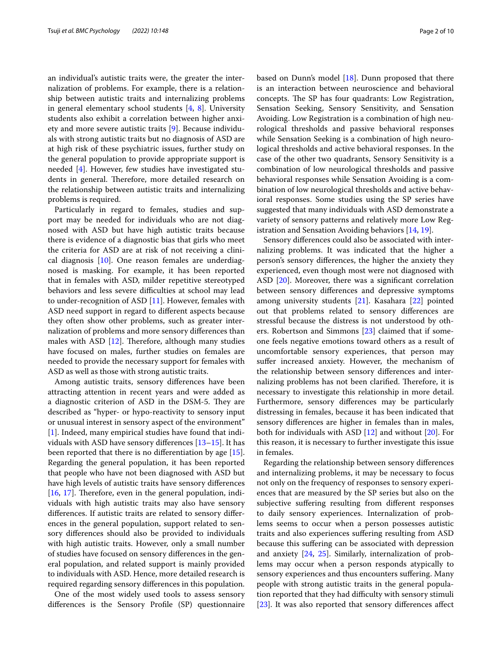an individual's autistic traits were, the greater the internalization of problems. For example, there is a relationship between autistic traits and internalizing problems in general elementary school students  $[4, 8]$  $[4, 8]$  $[4, 8]$  $[4, 8]$ . University students also exhibit a correlation between higher anxiety and more severe autistic traits [\[9](#page-8-8)]. Because individuals with strong autistic traits but no diagnosis of ASD are at high risk of these psychiatric issues, further study on the general population to provide appropriate support is needed [\[4](#page-8-3)]. However, few studies have investigated students in general. Therefore, more detailed research on the relationship between autistic traits and internalizing problems is required.

Particularly in regard to females, studies and support may be needed for individuals who are not diagnosed with ASD but have high autistic traits because there is evidence of a diagnostic bias that girls who meet the criteria for ASD are at risk of not receiving a clinical diagnosis [[10\]](#page-8-9). One reason females are underdiagnosed is masking. For example, it has been reported that in females with ASD, milder repetitive stereotyped behaviors and less severe difficulties at school may lead to under-recognition of ASD [\[11](#page-8-10)]. However, females with ASD need support in regard to diferent aspects because they often show other problems, such as greater internalization of problems and more sensory diferences than males with ASD  $[12]$  $[12]$ . Therefore, although many studies have focused on males, further studies on females are needed to provide the necessary support for females with ASD as well as those with strong autistic traits.

Among autistic traits, sensory diferences have been attracting attention in recent years and were added as a diagnostic criterion of ASD in the DSM-5. They are described as "hyper- or hypo-reactivity to sensory input or unusual interest in sensory aspect of the environment" [[1\]](#page-8-0). Indeed, many empirical studies have found that individuals with ASD have sensory diferences [[13–](#page-8-12)[15](#page-8-13)]. It has been reported that there is no diferentiation by age [\[15](#page-8-13)]. Regarding the general population, it has been reported that people who have not been diagnosed with ASD but have high levels of autistic traits have sensory diferences  $[16, 17]$  $[16, 17]$  $[16, 17]$  $[16, 17]$ . Therefore, even in the general population, individuals with high autistic traits may also have sensory diferences. If autistic traits are related to sensory diferences in the general population, support related to sensory diferences should also be provided to individuals with high autistic traits. However, only a small number of studies have focused on sensory diferences in the general population, and related support is mainly provided to individuals with ASD. Hence, more detailed research is required regarding sensory diferences in this population.

One of the most widely used tools to assess sensory diferences is the Sensory Profle (SP) questionnaire based on Dunn's model [\[18\]](#page-8-16). Dunn proposed that there is an interaction between neuroscience and behavioral concepts. The SP has four quadrants: Low Registration, Sensation Seeking, Sensory Sensitivity, and Sensation Avoiding. Low Registration is a combination of high neurological thresholds and passive behavioral responses while Sensation Seeking is a combination of high neurological thresholds and active behavioral responses. In the case of the other two quadrants, Sensory Sensitivity is a combination of low neurological thresholds and passive behavioral responses while Sensation Avoiding is a combination of low neurological thresholds and active behavioral responses. Some studies using the SP series have suggested that many individuals with ASD demonstrate a variety of sensory patterns and relatively more Low Registration and Sensation Avoiding behaviors [[14,](#page-8-17) [19](#page-8-18)].

Sensory diferences could also be associated with internalizing problems. It was indicated that the higher a person's sensory diferences, the higher the anxiety they experienced, even though most were not diagnosed with ASD [[20\]](#page-8-19). Moreover, there was a signifcant correlation between sensory diferences and depressive symptoms among university students [\[21](#page-8-20)]. Kasahara [\[22](#page-8-21)] pointed out that problems related to sensory diferences are stressful because the distress is not understood by others. Robertson and Simmons [[23](#page-8-22)] claimed that if someone feels negative emotions toward others as a result of uncomfortable sensory experiences, that person may suffer increased anxiety. However, the mechanism of the relationship between sensory diferences and internalizing problems has not been clarified. Therefore, it is necessary to investigate this relationship in more detail. Furthermore, sensory diferences may be particularly distressing in females, because it has been indicated that sensory diferences are higher in females than in males, both for individuals with ASD [\[12\]](#page-8-11) and without [[20\]](#page-8-19). For this reason, it is necessary to further investigate this issue in females.

Regarding the relationship between sensory diferences and internalizing problems, it may be necessary to focus not only on the frequency of responses to sensory experiences that are measured by the SP series but also on the subjective suffering resulting from different responses to daily sensory experiences. Internalization of problems seems to occur when a person possesses autistic traits and also experiences sufering resulting from ASD because this sufering can be associated with depression and anxiety [\[24,](#page-8-23) [25](#page-8-24)]. Similarly, internalization of problems may occur when a person responds atypically to sensory experiences and thus encounters sufering. Many people with strong autistic traits in the general population reported that they had difficulty with sensory stimuli [[23\]](#page-8-22). It was also reported that sensory differences affect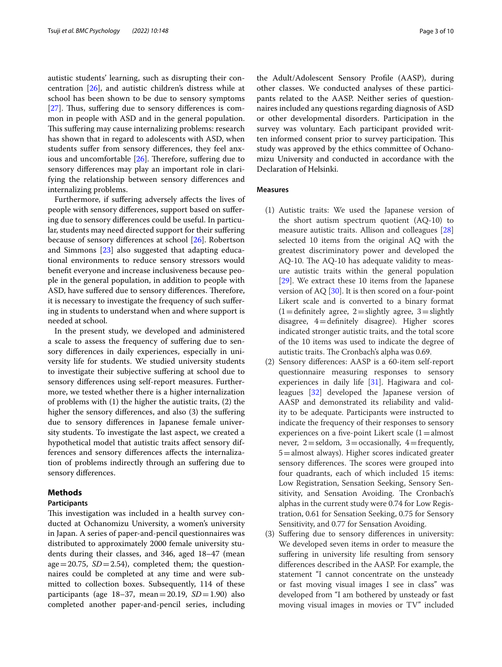autistic students' learning, such as disrupting their concentration [\[26\]](#page-8-25), and autistic children's distress while at school has been shown to be due to sensory symptoms [[27\]](#page-8-26). Thus, suffering due to sensory differences is common in people with ASD and in the general population. This suffering may cause internalizing problems: research has shown that in regard to adolescents with ASD, when students sufer from sensory diferences, they feel anxious and uncomfortable  $[26]$  $[26]$  $[26]$ . Therefore, suffering due to sensory diferences may play an important role in clarifying the relationship between sensory diferences and internalizing problems.

Furthermore, if sufering adversely afects the lives of people with sensory diferences, support based on sufering due to sensory diferences could be useful. In particular, students may need directed support for their sufering because of sensory diferences at school [\[26](#page-8-25)]. Robertson and Simmons [[23\]](#page-8-22) also suggested that adapting educational environments to reduce sensory stressors would beneft everyone and increase inclusiveness because people in the general population, in addition to people with ASD, have suffered due to sensory differences. Therefore, it is necessary to investigate the frequency of such sufering in students to understand when and where support is needed at school.

In the present study, we developed and administered a scale to assess the frequency of sufering due to sensory diferences in daily experiences, especially in university life for students. We studied university students to investigate their subjective sufering at school due to sensory diferences using self-report measures. Furthermore, we tested whether there is a higher internalization of problems with (1) the higher the autistic traits, (2) the higher the sensory diferences, and also (3) the sufering due to sensory diferences in Japanese female university students. To investigate the last aspect, we created a hypothetical model that autistic traits afect sensory differences and sensory diferences afects the internalization of problems indirectly through an sufering due to sensory diferences.

# **Methods**

#### **Participants**

This investigation was included in a health survey conducted at Ochanomizu University, a women's university in Japan. A series of paper-and-pencil questionnaires was distributed to approximately 2000 female university students during their classes, and 346, aged 18–47 (mean age=20.75,  $SD = 2.54$ ), completed them; the questionnaires could be completed at any time and were submitted to collection boxes. Subsequently, 114 of these participants (age  $18-37$ , mean=20.19,  $SD=1.90$ ) also completed another paper-and-pencil series, including the Adult/Adolescent Sensory Profle (AASP), during other classes. We conducted analyses of these participants related to the AASP. Neither series of questionnaires included any questions regarding diagnosis of ASD or other developmental disorders. Participation in the survey was voluntary. Each participant provided written informed consent prior to survey participation. This study was approved by the ethics committee of Ochanomizu University and conducted in accordance with the Declaration of Helsinki.

# **Measures**

- (1) Autistic traits: We used the Japanese version of the short autism spectrum quotient (AQ-10) to measure autistic traits. Allison and colleagues [[28](#page-8-27)] selected 10 items from the original AQ with the greatest discriminatory power and developed the AQ-10. The AQ-10 has adequate validity to measure autistic traits within the general population [[29\]](#page-8-28). We extract these 10 items from the Japanese version of AQ [[30\]](#page-9-0). It is then scored on a four-point Likert scale and is converted to a binary format  $(1=$  definitely agree,  $2=$  slightly agree,  $3=$  slightly disagree, 4=defnitely disagree). Higher scores indicated stronger autistic traits, and the total score of the 10 items was used to indicate the degree of autistic traits. The Cronbach's alpha was 0.69.
- (2) Sensory diferences: AASP is a 60-item self-report questionnaire measuring responses to sensory experiences in daily life [[31\]](#page-9-1). Hagiwara and colleagues [\[32](#page-9-2)] developed the Japanese version of AASP and demonstrated its reliability and validity to be adequate. Participants were instructed to indicate the frequency of their responses to sensory experiences on a five-point Likert scale  $(1=$ almost never,  $2 =$  seldom,  $3 =$  occasionally,  $4 =$  frequently, 5=almost always). Higher scores indicated greater sensory differences. The scores were grouped into four quadrants, each of which included 15 items: Low Registration, Sensation Seeking, Sensory Sensitivity, and Sensation Avoiding. The Cronbach's alphas in the current study were 0.74 for Low Registration, 0.61 for Sensation Seeking, 0.75 for Sensory Sensitivity, and 0.77 for Sensation Avoiding.
- (3) Sufering due to sensory diferences in university: We developed seven items in order to measure the suffering in university life resulting from sensory diferences described in the AASP. For example, the statement "I cannot concentrate on the unsteady or fast moving visual images I see in class" was developed from "I am bothered by unsteady or fast moving visual images in movies or TV" included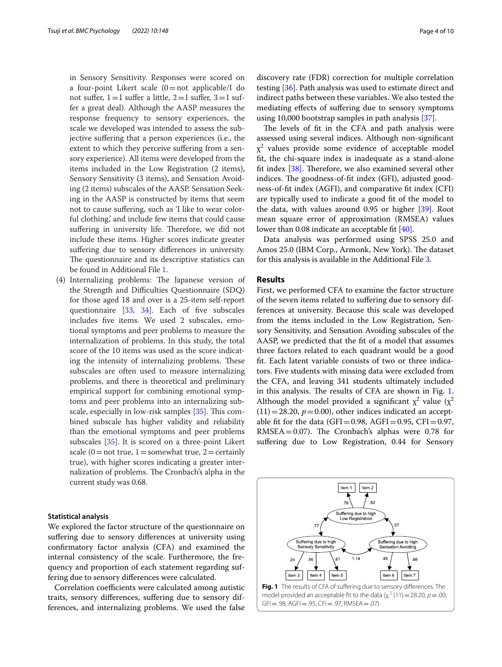in Sensory Sensitivity. Responses were scored on a four-point Likert scale  $(0=$ not applicable/I do not suffer,  $1=I$  suffer a little,  $2=I$  suffer,  $3=I$  suffer a great deal). Although the AASP measures the response frequency to sensory experiences, the scale we developed was intended to assess the subjective suffering that a person experiences (i.e., the extent to which they perceive sufering from a sensory experience). All items were developed from the items included in the Low Registration (2 items), Sensory Sensitivity (3 items), and Sensation Avoiding (2 items) subscales of the AASP. Sensation Seeking in the AASP is constructed by items that seem not to cause sufering, such as 'I like to wear colorful clothing,' and include few items that could cause suffering in university life. Therefore, we did not include these items. Higher scores indicate greater suffering due to sensory differences in university. The questionnaire and its descriptive statistics can be found in Additional File [1](#page-7-0).

(4) Internalizing problems: The Japanese version of the Strength and Difficulties Questionnaire (SDQ) for those aged 18 and over is a 25-item self-report questionnaire [\[33,](#page-9-3) [34\]](#page-9-4). Each of fve subscales includes fve items. We used 2 subscales, emotional symptoms and peer problems to measure the internalization of problems. In this study, the total score of the 10 items was used as the score indicating the intensity of internalizing problems. These subscales are often used to measure internalizing problems, and there is theoretical and preliminary empirical support for combining emotional symptoms and peer problems into an internalizing sub-scale, especially in low-risk samples [\[35\]](#page-9-5). This combined subscale has higher validity and reliability than the emotional symptoms and peer problems subscales [[35](#page-9-5)]. It is scored on a three-point Likert scale (0 = not true, 1 = somewhat true, 2 = certainly true), with higher scores indicating a greater internalization of problems. The Cronbach's alpha in the current study was 0.68.

### **Statistical analysis**

We explored the factor structure of the questionnaire on suffering due to sensory differences at university using confrmatory factor analysis (CFA) and examined the internal consistency of the scale. Furthermore, the frequency and proportion of each statement regarding suffering due to sensory diferences were calculated.

Correlation coefficients were calculated among autistic traits, sensory diferences, sufering due to sensory differences, and internalizing problems. We used the false discovery rate (FDR) correction for multiple correlation testing [[36\]](#page-9-6). Path analysis was used to estimate direct and indirect paths between these variables. We also tested the mediating efects of sufering due to sensory symptoms using 10,000 bootstrap samples in path analysis [\[37\]](#page-9-7).

The levels of fit in the CFA and path analysis were assessed using several indices. Although non-signifcant  $\chi^2$  values provide some evidence of acceptable model ft, the chi-square index is inadequate as a stand-alone fit index  $[38]$  $[38]$ . Therefore, we also examined several other indices. The goodness-of-fit index (GFI), adjusted goodness-of-ft index (AGFI), and comparative ft index (CFI) are typically used to indicate a good ft of the model to the data, with values around  $0.95$  or higher  $[39]$  $[39]$ . Root mean square error of approximation (RMSEA) values lower than 0.08 indicate an acceptable ft [\[40](#page-9-10)].

Data analysis was performed using SPSS 25.0 and Amos 25.0 (IBM Corp., Armonk, New York). The dataset for this analysis is available in the Additional File [3.](#page-7-1)

# **Results**

First, we performed CFA to examine the factor structure of the seven items related to sufering due to sensory differences at university. Because this scale was developed from the items included in the Low Registration, Sensory Sensitivity, and Sensation Avoiding subscales of the AASP, we predicted that the ft of a model that assumes three factors related to each quadrant would be a good ft. Each latent variable consists of two or three indicators. Five students with missing data were excluded from the CFA, and leaving 341 students ultimately included in this analysis. The results of CFA are shown in Fig.  $1$ . Although the model provided a significant  $\chi^2$  value ( $\chi^2$  $(11)=28.20, p=0.00$ , other indices indicated an acceptable fit for the data (GFI=0.98, AGFI=0.95, CFI=0.97,  $RMSEA = 0.07$ ). The Cronbach's alphas were 0.78 for suffering due to Low Registration, 0.44 for Sensory

<span id="page-3-0"></span>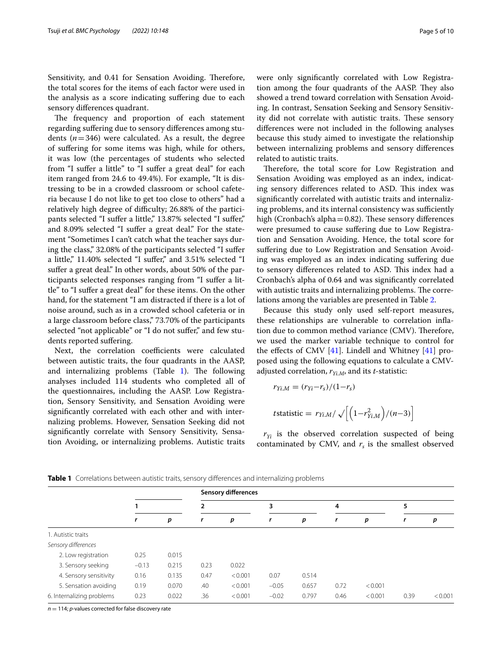Sensitivity, and 0.41 for Sensation Avoiding. Therefore, the total scores for the items of each factor were used in the analysis as a score indicating sufering due to each sensory diferences quadrant.

The frequency and proportion of each statement regarding sufering due to sensory diferences among students  $(n=346)$  were calculated. As a result, the degree of sufering for some items was high, while for others, it was low (the percentages of students who selected from "I suffer a little" to "I suffer a great deal" for each item ranged from 24.6 to 49.4%). For example, "It is distressing to be in a crowded classroom or school cafeteria because I do not like to get too close to others" had a relatively high degree of difficulty; 26.88% of the participants selected "I suffer a little," 13.87% selected "I suffer," and 8.09% selected "I suffer a great deal." For the statement "Sometimes I can't catch what the teacher says during the class," 32.08% of the participants selected "I sufer a little," 11.40% selected "I sufer," and 3.51% selected "I suffer a great deal." In other words, about 50% of the participants selected responses ranging from "I sufer a little" to "I sufer a great deal" for these items. On the other hand, for the statement "I am distracted if there is a lot of noise around, such as in a crowded school cafeteria or in a large classroom before class," 73.70% of the participants selected "not applicable" or "I do not suffer," and few students reported sufering.

Next, the correlation coefficients were calculated between autistic traits, the four quadrants in the AASP, and internalizing problems (Table  $1$ ). The following analyses included 114 students who completed all of the questionnaires, including the AASP. Low Registration, Sensory Sensitivity, and Sensation Avoiding were signifcantly correlated with each other and with internalizing problems. However, Sensation Seeking did not signifcantly correlate with Sensory Sensitivity, Sensation Avoiding, or internalizing problems. Autistic traits were only signifcantly correlated with Low Registration among the four quadrants of the AASP. They also showed a trend toward correlation with Sensation Avoiding. In contrast, Sensation Seeking and Sensory Sensitivity did not correlate with autistic traits. These sensory diferences were not included in the following analyses because this study aimed to investigate the relationship between internalizing problems and sensory diferences related to autistic traits.

Therefore, the total score for Low Registration and Sensation Avoiding was employed as an index, indicating sensory differences related to ASD. This index was signifcantly correlated with autistic traits and internalizing problems, and its internal consistency was sufficiently high (Cronbach's alpha $=0.82$ ). These sensory differences were presumed to cause suffering due to Low Registration and Sensation Avoiding. Hence, the total score for suffering due to Low Registration and Sensation Avoiding was employed as an index indicating sufering due to sensory differences related to ASD. This index had a Cronbach's alpha of 0.64 and was signifcantly correlated with autistic traits and internalizing problems. The correlations among the variables are presented in Table [2.](#page-5-0)

Because this study only used self-report measures, these relationships are vulnerable to correlation infation due to common method variance (CMV). Therefore, we used the marker variable technique to control for the effects of CMV  $[41]$  $[41]$ . Lindell and Whitney  $[41]$  proposed using the following equations to calculate a CMVadjusted correlation,  $r_{Yi,M}$ , and its *t*-statistic:

$$
r_{Yi,M} = (r_{Yi} - r_s)/(1 - r_s)
$$
  

$$
t \text{statistic} = r_{Yi,M} / \sqrt{\left[\left(1 - r_{Yi,M}^2\right)/(n - 3)\right]}
$$

 $r_{Yi}$  is the observed correlation suspected of being contaminated by CMV, and  $r<sub>s</sub>$  is the smallest observed

|                           | <b>Sensory differences</b> |       |      |         |         |       |      |         |      |         |
|---------------------------|----------------------------|-------|------|---------|---------|-------|------|---------|------|---------|
|                           |                            |       | 2    |         | 3       |       | 4    |         | 5    |         |
|                           | r                          | p     | r    | p       | r       | p     | r    | p       | r    | р       |
| 1. Autistic traits        |                            |       |      |         |         |       |      |         |      |         |
| Sensory differences       |                            |       |      |         |         |       |      |         |      |         |
| 2. Low registration       | 0.25                       | 0.015 |      |         |         |       |      |         |      |         |
| 3. Sensory seeking        | $-0.13$                    | 0.215 | 0.23 | 0.022   |         |       |      |         |      |         |
| 4. Sensory sensitivity    | 0.16                       | 0.135 | 0.47 | < 0.001 | 0.07    | 0.514 |      |         |      |         |
| 5. Sensation avoiding     | 0.19                       | 0.070 | .40  | < 0.001 | $-0.05$ | 0.657 | 0.72 | < 0.001 |      |         |
| 6. Internalizing problems | 0.23                       | 0.022 | .36  | < 0.001 | $-0.02$ | 0.797 | 0.46 | < 0.001 | 0.39 | < 0.001 |

<span id="page-4-0"></span>**Table 1** Correlations between autistic traits, sensory diferences and internalizing problems

 $n = 114$ ; *p*-values corrected for false discovery rate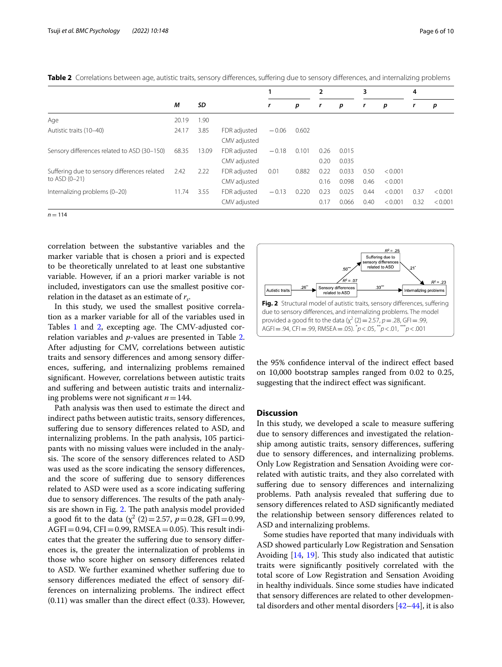|                                              | М     |       |              |         |       | 2    |       | 3    |         | 4    |         |
|----------------------------------------------|-------|-------|--------------|---------|-------|------|-------|------|---------|------|---------|
|                                              |       | SD    |              | r       | р     | r    | р     | r    | р       | r    | p       |
| Age                                          | 20.19 | 1.90  |              |         |       |      |       |      |         |      |         |
| Autistic traits (10-40)                      | 24.17 | 3.85  | FDR adjusted | $-0.06$ | 0.602 |      |       |      |         |      |         |
|                                              |       |       | CMV adjusted |         |       |      |       |      |         |      |         |
| Sensory differences related to ASD (30-150)  | 68.35 | 13.09 | FDR adjusted | $-0.18$ | 0.101 | 0.26 | 0.015 |      |         |      |         |
|                                              |       |       | CMV adjusted |         |       | 0.20 | 0.035 |      |         |      |         |
| Suffering due to sensory differences related | 2.42  | 2.22  | FDR adjusted | 0.01    | 0.882 | 0.22 | 0.033 | 0.50 | < 0.001 |      |         |
| to ASD (0-21)                                |       |       | CMV adjusted |         |       | 0.16 | 0.098 | 0.46 | < 0.001 |      |         |
| Internalizing problems (0-20)                | 11.74 | 3.55  | FDR adjusted | $-0.13$ | 0.220 | 0.23 | 0.025 | 0.44 | < 0.001 | 0.37 | < 0.001 |
|                                              |       |       | CMV adjusted |         |       | 0.17 | 0.066 | 0.40 | < 0.001 | 0.32 | < 0.001 |

<span id="page-5-0"></span>**Table 2** Correlations between age, autistic traits, sensory differences, suffering due to sensory differences, and internalizing problems

 $n = 114$ 

correlation between the substantive variables and the marker variable that is chosen a priori and is expected to be theoretically unrelated to at least one substantive variable. However, if an a priori marker variable is not included, investigators can use the smallest positive correlation in the dataset as an estimate of  $r_{\rm s}$ .

In this study, we used the smallest positive correlation as a marker variable for all of the variables used in Tables [1](#page-4-0) and [2](#page-5-0), excepting age. The CMV-adjusted correlation variables and *p*-values are presented in Table [2](#page-5-0). After adjusting for CMV, correlations between autistic traits and sensory diferences and among sensory diferences, sufering, and internalizing problems remained signifcant. However, correlations between autistic traits and sufering and between autistic traits and internalizing problems were not signifcant *n*=144.

Path analysis was then used to estimate the direct and indirect paths between autistic traits, sensory diferences, sufering due to sensory diferences related to ASD, and internalizing problems. In the path analysis, 105 participants with no missing values were included in the analysis. The score of the sensory differences related to ASD was used as the score indicating the sensory diferences, and the score of sufering due to sensory diferences related to ASD were used as a score indicating sufering due to sensory differences. The results of the path analy-sis are shown in Fig. [2](#page-5-1). The path analysis model provided a good fit to the data  $(\chi^2 \ (2)=2.57, p=0.28, \text{ GFI}=0.99,$  $AGFI = 0.94$ ,  $CFI = 0.99$ ,  $RMSEA = 0.05$ ). This result indicates that the greater the sufering due to sensory diferences is, the greater the internalization of problems in those who score higher on sensory diferences related to ASD. We further examined whether sufering due to sensory diferences mediated the efect of sensory differences on internalizing problems. The indirect effect (0.11) was smaller than the direct efect (0.33). However,



<span id="page-5-1"></span>the 95% confdence interval of the indirect efect based on 10,000 bootstrap samples ranged from 0.02 to 0.25, suggesting that the indirect efect was signifcant.

# **Discussion**

In this study, we developed a scale to measure sufering due to sensory diferences and investigated the relationship among autistic traits, sensory diferences, sufering due to sensory diferences, and internalizing problems. Only Low Registration and Sensation Avoiding were correlated with autistic traits, and they also correlated with suffering due to sensory differences and internalizing problems. Path analysis revealed that sufering due to sensory diferences related to ASD signifcantly mediated the relationship between sensory diferences related to ASD and internalizing problems.

Some studies have reported that many individuals with ASD showed particularly Low Registration and Sensation Avoiding  $[14, 19]$  $[14, 19]$  $[14, 19]$  $[14, 19]$ . This study also indicated that autistic traits were signifcantly positively correlated with the total score of Low Registration and Sensation Avoiding in healthy individuals. Since some studies have indicated that sensory diferences are related to other developmental disorders and other mental disorders [[42](#page-9-12)[–44](#page-9-13)], it is also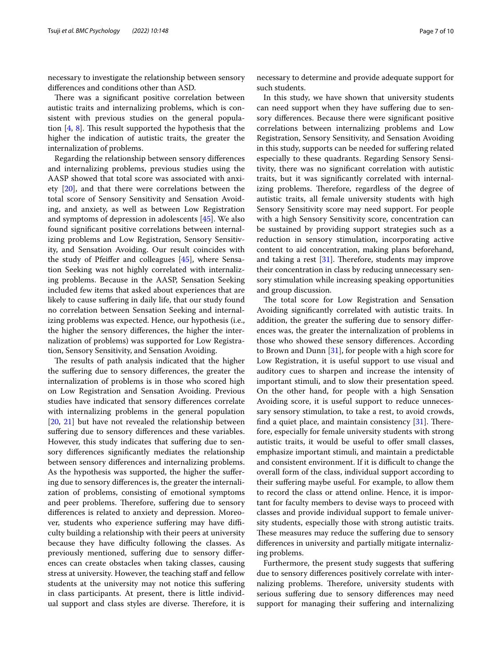necessary to investigate the relationship between sensory diferences and conditions other than ASD.

There was a significant positive correlation between autistic traits and internalizing problems, which is consistent with previous studies on the general population  $[4, 8]$  $[4, 8]$  $[4, 8]$ . This result supported the hypothesis that the higher the indication of autistic traits, the greater the internalization of problems.

Regarding the relationship between sensory diferences and internalizing problems, previous studies using the AASP showed that total score was associated with anxiety [\[20](#page-8-19)], and that there were correlations between the total score of Sensory Sensitivity and Sensation Avoiding, and anxiety, as well as between Low Registration and symptoms of depression in adolescents [\[45](#page-9-14)]. We also found signifcant positive correlations between internalizing problems and Low Registration, Sensory Sensitivity, and Sensation Avoiding. Our result coincides with the study of Pfeifer and colleagues [\[45\]](#page-9-14), where Sensation Seeking was not highly correlated with internalizing problems. Because in the AASP, Sensation Seeking included few items that asked about experiences that are likely to cause suffering in daily life, that our study found no correlation between Sensation Seeking and internalizing problems was expected. Hence, our hypothesis (i.e., the higher the sensory diferences, the higher the internalization of problems) was supported for Low Registration, Sensory Sensitivity, and Sensation Avoiding.

The results of path analysis indicated that the higher the sufering due to sensory diferences, the greater the internalization of problems is in those who scored high on Low Registration and Sensation Avoiding. Previous studies have indicated that sensory diferences correlate with internalizing problems in the general population [[20,](#page-8-19) [21](#page-8-20)] but have not revealed the relationship between suffering due to sensory differences and these variables. However, this study indicates that suffering due to sensory diferences signifcantly mediates the relationship between sensory diferences and internalizing problems. As the hypothesis was supported, the higher the sufering due to sensory diferences is, the greater the internalization of problems, consisting of emotional symptoms and peer problems. Therefore, suffering due to sensory diferences is related to anxiety and depression. Moreover, students who experience suffering may have difficulty building a relationship with their peers at university because they have difficulty following the classes. As previously mentioned, sufering due to sensory diferences can create obstacles when taking classes, causing stress at university. However, the teaching staf and fellow students at the university may not notice this sufering in class participants. At present, there is little individual support and class styles are diverse. Therefore, it is necessary to determine and provide adequate support for such students.

In this study, we have shown that university students can need support when they have sufering due to sensory diferences. Because there were signifcant positive correlations between internalizing problems and Low Registration, Sensory Sensitivity, and Sensation Avoiding in this study, supports can be needed for sufering related especially to these quadrants. Regarding Sensory Sensitivity, there was no signifcant correlation with autistic traits, but it was signifcantly correlated with internalizing problems. Therefore, regardless of the degree of autistic traits, all female university students with high Sensory Sensitivity score may need support. For people with a high Sensory Sensitivity score, concentration can be sustained by providing support strategies such as a reduction in sensory stimulation, incorporating active content to aid concentration, making plans beforehand, and taking a rest  $[31]$ . Therefore, students may improve their concentration in class by reducing unnecessary sensory stimulation while increasing speaking opportunities and group discussion.

The total score for Low Registration and Sensation Avoiding signifcantly correlated with autistic traits. In addition, the greater the suffering due to sensory differences was, the greater the internalization of problems in those who showed these sensory diferences. According to Brown and Dunn [\[31](#page-9-1)], for people with a high score for Low Registration, it is useful support to use visual and auditory cues to sharpen and increase the intensity of important stimuli, and to slow their presentation speed. On the other hand, for people with a high Sensation Avoiding score, it is useful support to reduce unnecessary sensory stimulation, to take a rest, to avoid crowds, find a quiet place, and maintain consistency  $[31]$ . Therefore, especially for female university students with strong autistic traits, it would be useful to offer small classes, emphasize important stimuli, and maintain a predictable and consistent environment. If it is difficult to change the overall form of the class, individual support according to their sufering maybe useful. For example, to allow them to record the class or attend online. Hence, it is important for faculty members to devise ways to proceed with classes and provide individual support to female university students, especially those with strong autistic traits. These measures may reduce the suffering due to sensory diferences in university and partially mitigate internalizing problems.

Furthermore, the present study suggests that sufering due to sensory diferences positively correlate with internalizing problems. Therefore, university students with serious sufering due to sensory diferences may need support for managing their suffering and internalizing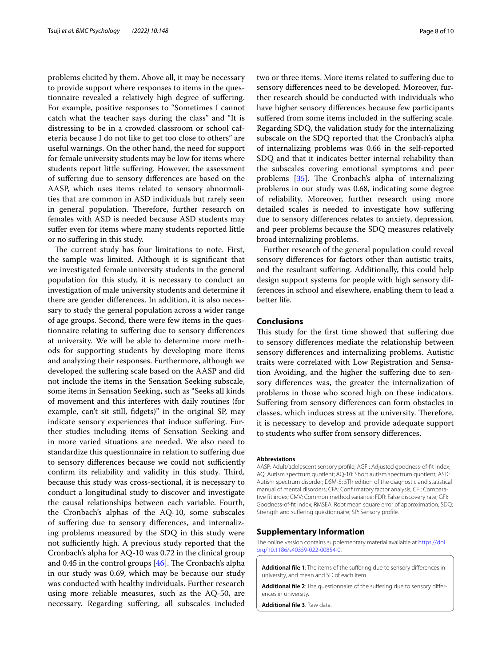problems elicited by them. Above all, it may be necessary to provide support where responses to items in the questionnaire revealed a relatively high degree of sufering. For example, positive responses to "Sometimes I cannot catch what the teacher says during the class" and "It is distressing to be in a crowded classroom or school cafeteria because I do not like to get too close to others" are useful warnings. On the other hand, the need for support for female university students may be low for items where students report little sufering. However, the assessment of sufering due to sensory diferences are based on the AASP, which uses items related to sensory abnormalities that are common in ASD individuals but rarely seen in general population. Therefore, further research on females with ASD is needed because ASD students may suffer even for items where many students reported little or no sufering in this study.

The current study has four limitations to note. First, the sample was limited. Although it is signifcant that we investigated female university students in the general population for this study, it is necessary to conduct an investigation of male university students and determine if there are gender diferences. In addition, it is also necessary to study the general population across a wider range of age groups. Second, there were few items in the questionnaire relating to sufering due to sensory diferences at university. We will be able to determine more methods for supporting students by developing more items and analyzing their responses. Furthermore, although we developed the sufering scale based on the AASP and did not include the items in the Sensation Seeking subscale, some items in Sensation Seeking, such as "Seeks all kinds of movement and this interferes with daily routines (for example, can't sit still, fdgets)" in the original SP, may indicate sensory experiences that induce sufering. Further studies including items of Sensation Seeking and in more varied situations are needed. We also need to standardize this questionnaire in relation to sufering due to sensory differences because we could not sufficiently confirm its reliability and validity in this study. Third, because this study was cross-sectional, it is necessary to conduct a longitudinal study to discover and investigate the causal relationships between each variable. Fourth, the Cronbach's alphas of the AQ-10, some subscales of sufering due to sensory diferences, and internalizing problems measured by the SDQ in this study were not sufficiently high. A previous study reported that the Cronbach's alpha for AQ-10 was 0.72 in the clinical group and 0.45 in the control groups  $[46]$  $[46]$ . The Cronbach's alpha in our study was 0.69, which may be because our study was conducted with healthy individuals. Further research using more reliable measures, such as the AQ-50, are necessary. Regarding sufering, all subscales included two or three items. More items related to sufering due to sensory diferences need to be developed. Moreover, further research should be conducted with individuals who have higher sensory diferences because few participants suffered from some items included in the suffering scale. Regarding SDQ, the validation study for the internalizing subscale on the SDQ reported that the Cronbach's alpha of internalizing problems was 0.66 in the self-reported SDQ and that it indicates better internal reliability than the subscales covering emotional symptoms and peer problems [[35\]](#page-9-5). The Cronbach's alpha of internalizing problems in our study was 0.68, indicating some degree of reliability. Moreover, further research using more detailed scales is needed to investigate how sufering due to sensory diferences relates to anxiety, depression, and peer problems because the SDQ measures relatively broad internalizing problems.

Further research of the general population could reveal sensory diferences for factors other than autistic traits, and the resultant sufering. Additionally, this could help design support systems for people with high sensory differences in school and elsewhere, enabling them to lead a better life.

# **Conclusions**

This study for the first time showed that suffering due to sensory diferences mediate the relationship between sensory diferences and internalizing problems. Autistic traits were correlated with Low Registration and Sensation Avoiding, and the higher the sufering due to sensory diferences was, the greater the internalization of problems in those who scored high on these indicators. Sufering from sensory diferences can form obstacles in classes, which induces stress at the university. Therefore, it is necessary to develop and provide adequate support to students who sufer from sensory diferences.

#### **Abbreviations**

AASP: Adult/adolescent sensory profle; AGFI: Adjusted goodness-of-ft index; AQ: Autism spectrum quotient; AQ-10: Short autism spectrum quotient; ASD: Autism spectrum disorder; DSM-5: 5Th edition of the diagnostic and statistical manual of mental disorders; CFA: Confrmatory factor analysis; CFI: Compara‑ tive ft index; CMV: Common method variance; FDR: False discovery rate; GFI: Goodness-of-ft index; RMSEA: Root mean square error of approximation; SDQ: Strength and sufering questionnaire; SP: Sensory profle.

#### **Supplementary Information**

The online version contains supplementary material available at [https://doi.](https://doi.org/10.1186/s40359-022-00854-0) [org/10.1186/s40359-022-00854-0](https://doi.org/10.1186/s40359-022-00854-0).

<span id="page-7-0"></span>**Additional fle 1**: The items of the sufering due to sensory diferences in university, and mean and SD of each item.

<span id="page-7-1"></span>Additional file 2: The questionnaire of the suffering due to sensory differences in university.

**Additional fle 3**. Raw data.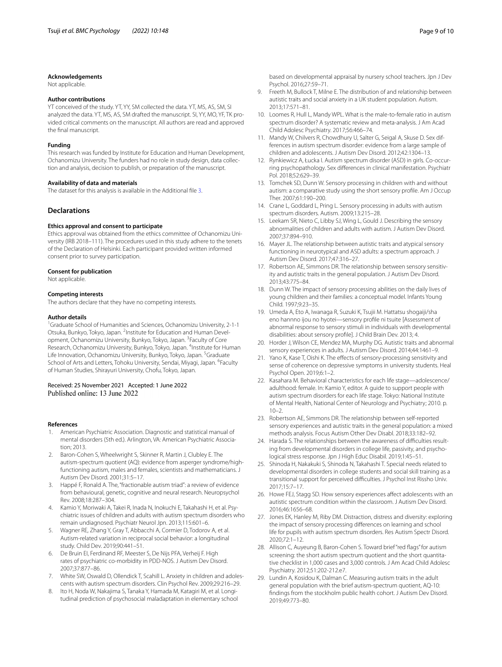#### **Acknowledgements**

Not applicable.

### **Author contributions**

YT conceived of the study. YT, YY, SM collected the data. YT, MS, AS, SM, SI analyzed the data. YT, MS, AS, SM drafted the manuscript. SI, YY, MO, YF, TK provided critical comments on the manuscript. All authors are read and approved the fnal manuscript.

#### **Funding**

This research was funded by Institute for Education and Human Development, Ochanomizu University. The funders had no role in study design, data collection and analysis, decision to publish, or preparation of the manuscript.

#### **Availability of data and materials**

The dataset for this analysis is available in the Additional fle [3.](#page-7-1)

#### **Declarations**

#### **Ethics approval and consent to participate**

Ethics approval was obtained from the ethics committee of Ochanomizu University (IRB 2018–111). The procedures used in this study adhere to the tenets of the Declaration of Helsinki. Each participant provided written informed consent prior to survey participation.

#### **Consent for publication**

Not applicable.

#### **Competing interests**

The authors declare that they have no competing interests.

#### **Author details**

<sup>1</sup> Graduate School of Humanities and Sciences, Ochanomizu University, 2-1-1 Otsuka, Bunkyo, Tokyo, Japan. <sup>2</sup>Institute for Education and Human Development, Ochanomizu University, Bunkyo, Tokyo, Japan. <sup>3</sup> Faculty of Core Research, Ochanomizu University, Bunkyo, Tokyo, Japan. <sup>4</sup>Institute for Human Life Innovation, Ochanomizu University, Bunkyo, Tokyo, Japan. <sup>5</sup>Graduate School of Arts and Letters, Tohoku University, Sendai, Miyagi, Japan. <sup>6</sup>Faculty of Human Studies, Shirayuri University, Chofu, Tokyo, Japan.

### Received: 25 November 2021 Accepted: 1 June 2022 Published online: 13 June 2022

#### **References**

- <span id="page-8-0"></span>1. American Psychiatric Association. Diagnostic and statistical manual of mental disorders (5th ed.). Arlington, VA: American Psychiatric Association; 2013.
- <span id="page-8-1"></span>2. Baron-Cohen S, Wheelwright S, Skinner R, Martin J, Clubley E. The autism-spectrum quotient (AQ): evidence from asperger syndrome/highfunctioning autism, males and females, scientists and mathematicians. J Autism Dev Disord. 2001;31:5–17.
- <span id="page-8-2"></span>3. Happé F, Ronald A. The, "fractionable autism triad": a review of evidence from behavioural, genetic, cognitive and neural research. Neuropsychol Rev. 2008;18:287–304.
- <span id="page-8-3"></span>4. Kamio Y, Moriwaki A, Takei R, Inada N, Inokuchi E, Takahashi H, et al. Psychiatric issues of children and adults with autism spectrum disorders who remain undiagnosed. Psychiatr Neurol Jpn. 2013;115:601–6.
- <span id="page-8-4"></span>5. Wagner RE, Zhang Y, Gray T, Abbacchi A, Cormier D, Todorov A, et al. Autism-related variation in reciprocal social behavior: a longitudinal study. Child Dev. 2019;90:441–51.
- <span id="page-8-5"></span>6. De Bruin EI, Ferdinand RF, Meester S, De Nijs PFA, Verheij F. High rates of psychiatric co-morbidity in PDD-NOS. J Autism Dev Disord. 2007;37:877–86.
- <span id="page-8-6"></span>7. White SW, Oswald D, Ollendick T, Scahill L. Anxiety in children and adolescents with autism spectrum disorders. Clin Psychol Rev. 2009;29:216–29.
- <span id="page-8-7"></span>Ito H, Noda W, Nakajima S, Tanaka Y, Hamada M, Katagiri M, et al. Longitudinal prediction of psychosocial maladaptation in elementary school

based on developmental appraisal by nursery school teachers. Jpn J Dev Psychol. 2016;27:59–71.

- <span id="page-8-8"></span>9. Freeth M, Bullock T, Milne E. The distribution of and relationship between autistic traits and social anxiety in a UK student population. Autism. 2013;17:571–81.
- <span id="page-8-9"></span>10. Loomes R, Hull L, Mandy WPL. What is the male-to-female ratio in autism spectrum disorder? A systematic review and meta-analysis. J Am Acad Child Adolesc Psychiatry. 2017;56:466–74.
- <span id="page-8-10"></span>11. Mandy W, Chilvers R, Chowdhury U, Salter G, Seigal A, Skuse D. Sex differences in autism spectrum disorder: evidence from a large sample of children and adolescents. J Autism Dev Disord. 2012;42:1304–13.
- <span id="page-8-11"></span>12. Rynkiewicz A, Łucka I. Autism spectrum disorder (ASD) in girls. Co-occurring psychopathology. Sex diferences in clinical manifestation. Psychiatr Pol. 2018;52:629–39.
- <span id="page-8-12"></span>13. Tomchek SD, Dunn W. Sensory processing in children with and without autism: a comparative study using the short sensory profle. Am J Occup Ther. 2007;61:190–200.
- <span id="page-8-17"></span>14. Crane L, Goddard L, Pring L. Sensory processing in adults with autism spectrum disorders. Autism. 2009;13:215–28.
- <span id="page-8-13"></span>15. Leekam SR, Nieto C, Libby SJ, Wing L, Gould J. Describing the sensory abnormalities of children and adults with autism. J Autism Dev Disord. 2007;37:894–910.
- <span id="page-8-14"></span>16. Mayer JL. The relationship between autistic traits and atypical sensory functioning in neurotypical and ASD adults: a spectrum approach. J Autism Dev Disord. 2017;47:316–27.
- <span id="page-8-15"></span>17. Robertson AE, Simmons DR. The relationship between sensory sensitivity and autistic traits in the general population. J Autism Dev Disord. 2013;43:775–84.
- <span id="page-8-16"></span>18. Dunn W. The impact of sensory processing abilities on the daily lives of young children and their families: a conceptual model. Infants Young Child. 1997;9:23–35.
- <span id="page-8-18"></span>19. Umeda A, Eto A, Iwanaga R, Suzuki K, Tsujii M. Hattatsu shogaiji/sha eno hannno ijou no hyotei—sensory profle ni tsuite [Assessment of abnormal response to sensory stimuli in individuals with developmental disabilities: about sensory profle]. J Child Brain Dev. 2013; 4.
- <span id="page-8-19"></span>20. Horder J, Wilson CE, Mendez MA, Murphy DG. Autistic traits and abnormal sensory experiences in adults. J Autism Dev Disord. 2014;44:1461–9.
- <span id="page-8-20"></span>21. Yano K, Kase T, Oishi K. The effects of sensory-processing sensitivity and sense of coherence on depressive symptoms in university students. Heal Psychol Open. 2019;6:1–2.
- <span id="page-8-21"></span>22. Kasahara M. Behavioral characteristics for each life stage—adolescence/ adulthood: female. In: Kamio Y, editor. A guide to support people with autism spectrum disorders for each life stage. Tokyo: National Institute of Mental Health, National Center of Neurology and Psychiatry; 2010. p.  $10-2.$
- <span id="page-8-22"></span>23. Robertson AE, Simmons DR. The relationship between self-reported sensory experiences and autistic traits in the general population: a mixed methods analysis. Focus Autism Other Dev Disabl. 2018;33:182–92.
- <span id="page-8-23"></span>24. Harada S. The relationships between the awareness of difficulties resulting from developmental disorders in college life, passivity, and psychological stress response. Jpn J High Educ Disabil. 2019;1:45–51.
- <span id="page-8-24"></span>25. Shinoda H, Nakakuki S, Shinoda N, Takahashi T. Special needs related to developmental disorders in college students and social skill training as a transitional support for perceived difficulties. J Psychol Inst Rissho Univ. 2017;15:7–17.
- <span id="page-8-25"></span>26. Howe FEJ, Stagg SD. How sensory experiences affect adolescents with an autistic spectrum condition within the classroom. J Autism Dev Disord. 2016;46:1656–68.
- <span id="page-8-26"></span>27. Jones EK, Hanley M, Riby DM. Distraction, distress and diversity: exploring the impact of sensory processing diferences on learning and school life for pupils with autism spectrum disorders. Res Autism Spectr Disord. 2020;72:1–12.
- <span id="page-8-27"></span>28. Allison C, Auyeung B, Baron-Cohen S. Toward brief "red fags" for autism screening: the short autism spectrum quotient and the short quantitative checklist in 1,000 cases and 3,000 controls. J Am Acad Child Adolesc Psychiatry. 2012;51:202-212.e7.
- <span id="page-8-28"></span>29. Lundin A, Kosidou K, Dalman C. Measuring autism traits in the adult general population with the brief autism-spectrum quotient, AQ-10: fndings from the stockholm public health cohort. J Autism Dev Disord. 2019;49:773–80.